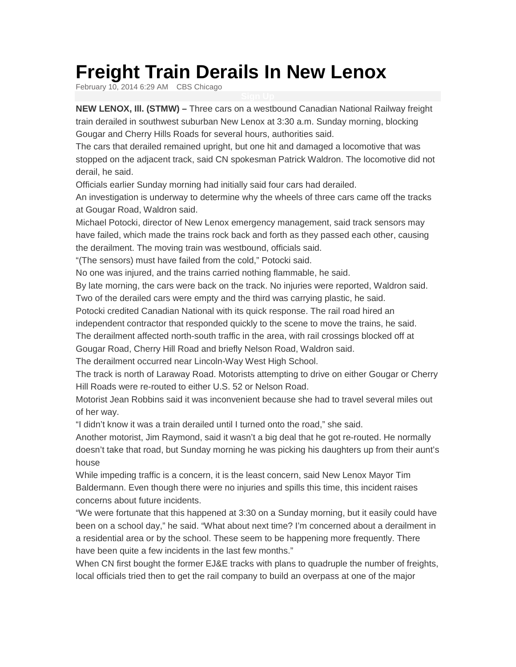## **Freight Train Derails In New Lenox**

February 10, 2014 6:29 AM CBS Chicago

**NEW LENOX, Ill. (STMW) –** Three cars on a westbound Canadian National Railway freight train derailed in southwest suburban New Lenox at 3:30 a.m. Sunday morning, blocking Gougar and Cherry Hills Roads for several hours, authorities said.

The cars that derailed remained upright, but one hit and damaged a locomotive that was stopped on the adjacent track, said CN spokesman Patrick Waldron. The locomotive did not derail, he said.

Officials earlier Sunday morning had initially said four cars had derailed.

An investigation is underway to determine why the wheels of three cars came off the tracks at Gougar Road, Waldron said.

Michael Potocki, director of New Lenox emergency management, said track sensors may have failed, which made the trains rock back and forth as they passed each other, causing the derailment. The moving train was westbound, officials said.

"(The sensors) must have failed from the cold," Potocki said.

No one was injured, and the trains carried nothing flammable, he said.

By late morning, the cars were back on the track. No injuries were reported, Waldron said. Two of the derailed cars were empty and the third was carrying plastic, he said.

Potocki credited Canadian National with its quick response. The rail road hired an

independent contractor that responded quickly to the scene to move the trains, he said.

The derailment affected north-south traffic in the area, with rail crossings blocked off at

Gougar Road, Cherry Hill Road and briefly Nelson Road, Waldron said.

The derailment occurred near Lincoln-Way West High School.

The track is north of Laraway Road. Motorists attempting to drive on either Gougar or Cherry Hill Roads were re-routed to either U.S. 52 or Nelson Road.

Motorist Jean Robbins said it was inconvenient because she had to travel several miles out of her way.

"I didn't know it was a train derailed until I turned onto the road," she said.

Another motorist, Jim Raymond, said it wasn't a big deal that he got re-routed. He normally doesn't take that road, but Sunday morning he was picking his daughters up from their aunt's house

While impeding traffic is a concern, it is the least concern, said New Lenox Mayor Tim Baldermann. Even though there were no injuries and spills this time, this incident raises concerns about future incidents.

"We were fortunate that this happened at 3:30 on a Sunday morning, but it easily could have been on a school day," he said. "What about next time? I'm concerned about a derailment in a residential area or by the school. These seem to be happening more frequently. There have been quite a few incidents in the last few months."

When CN first bought the former EJ&E tracks with plans to quadruple the number of freights, local officials tried then to get the rail company to build an overpass at one of the major